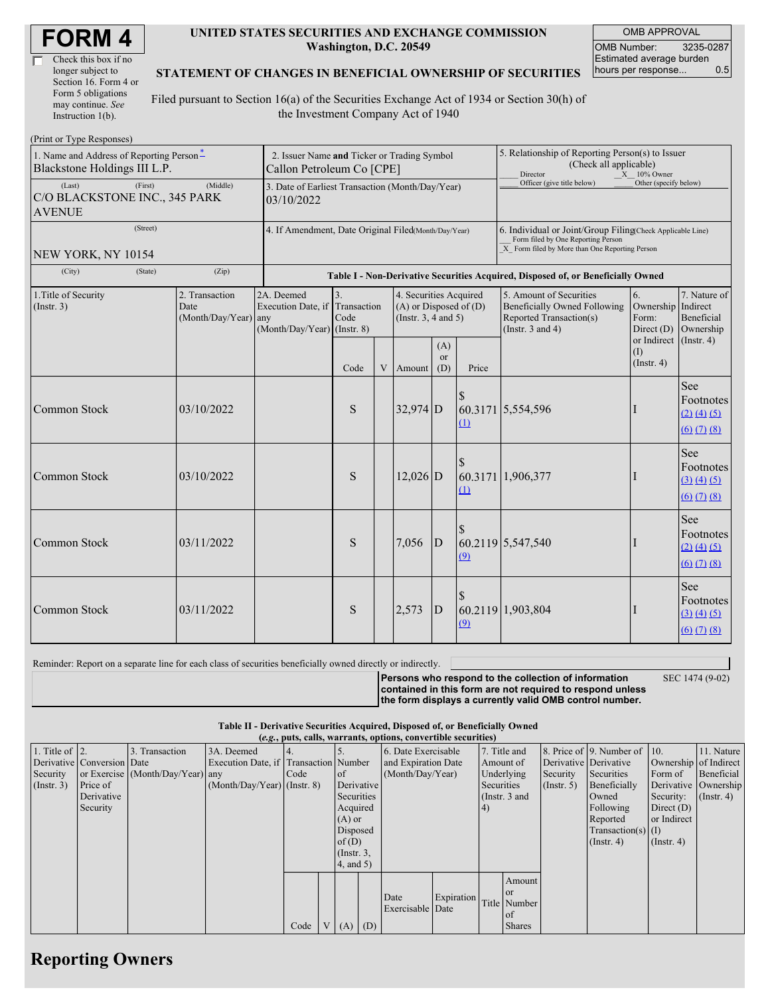| <b>FORM4</b> |
|--------------|
|--------------|

| Check this box if no  |  |
|-----------------------|--|
| longer subject to     |  |
| Section 16. Form 4 or |  |
| Form 5 obligations    |  |
| may continue. See     |  |
| Instruction 1(b).     |  |

 $(D_{\text{rint}} \text{ or } \text{T} \text{ and } \text{Do}$ 

#### **UNITED STATES SECURITIES AND EXCHANGE COMMISSION Washington, D.C. 20549**

OMB APPROVAL OMB Number: 3235-0287 Estimated average burden hours per response... 0.5

### **STATEMENT OF CHANGES IN BENEFICIAL OWNERSHIP OF SECURITIES**

Filed pursuant to Section 16(a) of the Securities Exchange Act of 1934 or Section 30(h) of the Investment Company Act of 1940

| $1 \text{ min}$ or $1 \text{ ypc}$ responses)<br>1. Name and Address of Reporting Person*<br>Blackstone Holdings III L.P.<br>(First)<br>(Middle)<br>(Last) |         |                                                | 2. Issuer Name and Ticker or Trading Symbol<br>Callon Petroleum Co [CPE] |                                                                                  |                                                                                  |            |                             |                                                                                                                                                    | 5. Relationship of Reporting Person(s) to Issuer<br>(Check all applicable)<br>Director<br>$X = 10\%$ Owner<br>Officer (give title below)<br>Other (specify below) |                                                                |                                                                                                                                |  |
|------------------------------------------------------------------------------------------------------------------------------------------------------------|---------|------------------------------------------------|--------------------------------------------------------------------------|----------------------------------------------------------------------------------|----------------------------------------------------------------------------------|------------|-----------------------------|----------------------------------------------------------------------------------------------------------------------------------------------------|-------------------------------------------------------------------------------------------------------------------------------------------------------------------|----------------------------------------------------------------|--------------------------------------------------------------------------------------------------------------------------------|--|
| C/O BLACKSTONE INC., 345 PARK<br><b>AVENUE</b>                                                                                                             |         |                                                | 3. Date of Earliest Transaction (Month/Day/Year)<br>03/10/2022           |                                                                                  |                                                                                  |            |                             |                                                                                                                                                    |                                                                                                                                                                   |                                                                |                                                                                                                                |  |
| (Street)<br>NEW YORK, NY 10154                                                                                                                             |         |                                                | 4. If Amendment, Date Original Filed(Month/Day/Year)                     |                                                                                  |                                                                                  |            |                             | 6. Individual or Joint/Group Filing(Check Applicable Line)<br>Form filed by One Reporting Person<br>X Form filed by More than One Reporting Person |                                                                                                                                                                   |                                                                |                                                                                                                                |  |
| (City)                                                                                                                                                     | (State) | (Zip)                                          |                                                                          | Table I - Non-Derivative Securities Acquired, Disposed of, or Beneficially Owned |                                                                                  |            |                             |                                                                                                                                                    |                                                                                                                                                                   |                                                                |                                                                                                                                |  |
| 1. Title of Security<br>(Insert. 3)                                                                                                                        |         | 2. Transaction<br>Date<br>(Month/Day/Year) any | 2A. Deemed<br>Execution Date, if<br>(Month/Day/Year) (Instr. 8)          | 3.<br>Transaction<br>Code                                                        | 4. Securities Acquired<br>$(A)$ or Disposed of $(D)$<br>(Instr. $3, 4$ and $5$ ) |            |                             |                                                                                                                                                    | 5. Amount of Securities<br><b>Beneficially Owned Following</b><br>Reported Transaction(s)<br>(Instr. $3$ and $4$ )                                                | 6.<br>Ownership Indirect<br>Form:<br>Direct (D)<br>or Indirect | 7. Nature of<br>Beneficial<br>Ownership<br>$($ Instr. 4 $)$                                                                    |  |
|                                                                                                                                                            |         |                                                |                                                                          | Code                                                                             | V                                                                                | Amount     | (A)<br><sub>or</sub><br>(D) | Price                                                                                                                                              |                                                                                                                                                                   | (I)<br>$($ Instr. 4 $)$                                        |                                                                                                                                |  |
| Common Stock                                                                                                                                               |         | 03/10/2022                                     |                                                                          | S                                                                                |                                                                                  | $32,974$ D |                             | $\Omega$                                                                                                                                           | 60.3171 5,554,596                                                                                                                                                 |                                                                | See<br>Footnotes<br>$(2)$ $(4)$ $(5)$<br>$\underline{(6)}$ $\underline{(7)}$ $\underline{(8)}$                                 |  |
| Common Stock                                                                                                                                               |         | 03/10/2022                                     |                                                                          | S                                                                                |                                                                                  | 12,026 D   |                             | (1)                                                                                                                                                | 60.3171 1,906,377                                                                                                                                                 |                                                                | See<br>Footnotes<br>(3) (4) (5)<br>$(6)$ $(7)$ $(8)$                                                                           |  |
| Common Stock                                                                                                                                               |         | 03/11/2022                                     |                                                                          | S                                                                                |                                                                                  | 7,056      | $\overline{D}$              | (9)                                                                                                                                                | 60.2119 5,547,540                                                                                                                                                 |                                                                | See<br>Footnotes<br>$(2)$ $(4)$ $(5)$<br>$(6)$ $(7)$ $(8)$                                                                     |  |
| Common Stock                                                                                                                                               |         | 03/11/2022                                     |                                                                          | S                                                                                |                                                                                  | 2,573      | D                           | $\Omega$                                                                                                                                           | 60.2119 1,903,804                                                                                                                                                 |                                                                | See<br>Footnotes<br>$\underline{(3)} \underline{(4)} \underline{(5)}$<br>$\underline{(6)}$ $\underline{(7)}$ $\underline{(8)}$ |  |

Reminder: Report on a separate line for each class of securities beneficially owned directly or indirectly.

SEC 1474 (9-02)

**Persons who respond to the collection of information contained in this form are not required to respond unless the form displays a currently valid OMB control number.**

**Table II - Derivative Securities Acquired, Disposed of, or Beneficially Owned (***e.g.***, puts, calls, warrants, options, convertible securities)**

| $(c, \zeta, \mu, \zeta)$ cans, warrants, options, convertible securities) |                            |                                  |                                       |      |  |                 |                  |                     |                     |            |               |                       |                              |                       |               |
|---------------------------------------------------------------------------|----------------------------|----------------------------------|---------------------------------------|------|--|-----------------|------------------|---------------------|---------------------|------------|---------------|-----------------------|------------------------------|-----------------------|---------------|
| 1. Title of $\vert$ 2.                                                    |                            | 3. Transaction                   | 3A. Deemed                            |      |  |                 |                  | 6. Date Exercisable |                     |            | 7. Title and  |                       | 8. Price of 9. Number of 10. |                       | 11. Nature    |
|                                                                           | Derivative Conversion Date |                                  | Execution Date, if Transaction Number |      |  |                 |                  |                     | and Expiration Date |            | Amount of     | Derivative Derivative |                              | Ownership of Indirect |               |
| Security                                                                  |                            | or Exercise (Month/Day/Year) any |                                       | Code |  | of              | (Month/Day/Year) |                     |                     | Underlying | Security      | Securities            | Form of                      | Beneficial            |               |
| $($ Instr. 3 $)$                                                          | Price of                   |                                  | $(Month/Day/Year)$ (Instr. 8)         |      |  |                 | Derivative       |                     |                     | Securities |               | $($ Instr. 5)         | Beneficially                 | Derivative Ownership  |               |
|                                                                           | Derivative                 |                                  |                                       |      |  | Securities      |                  |                     |                     |            | (Instr. 3 and |                       | Owned                        | Security:             | $($ Instr. 4) |
|                                                                           | Security                   |                                  |                                       |      |  | Acquired        |                  |                     |                     | (4)        |               |                       | Following                    | Direct $(D)$          |               |
|                                                                           |                            |                                  |                                       |      |  |                 | $(A)$ or         |                     |                     |            |               | Reported              | or Indirect                  |                       |               |
|                                                                           |                            |                                  |                                       |      |  | Disposed        |                  |                     |                     |            |               |                       | $Transaction(s)$ (I)         |                       |               |
|                                                                           |                            |                                  |                                       |      |  | of $(D)$        |                  |                     |                     |            |               |                       | $($ Instr. 4 $)$             | $($ Instr. 4 $)$      |               |
|                                                                           |                            |                                  |                                       |      |  | $($ Instr. $3,$ |                  |                     |                     |            |               |                       |                              |                       |               |
|                                                                           |                            |                                  |                                       |      |  | $4$ , and $5$ ) |                  |                     |                     |            |               |                       |                              |                       |               |
|                                                                           |                            |                                  |                                       |      |  |                 |                  |                     |                     |            | Amount        |                       |                              |                       |               |
|                                                                           |                            |                                  |                                       |      |  |                 |                  |                     |                     |            | <b>or</b>     |                       |                              |                       |               |
|                                                                           |                            |                                  |                                       |      |  |                 |                  | Date                | Expiration          |            | Title Number  |                       |                              |                       |               |
|                                                                           |                            |                                  |                                       |      |  |                 |                  | Exercisable Date    |                     |            | of            |                       |                              |                       |               |
|                                                                           |                            |                                  |                                       | Code |  | $V(A)$ (D)      |                  |                     |                     |            | <b>Shares</b> |                       |                              |                       |               |

## **Reporting Owners**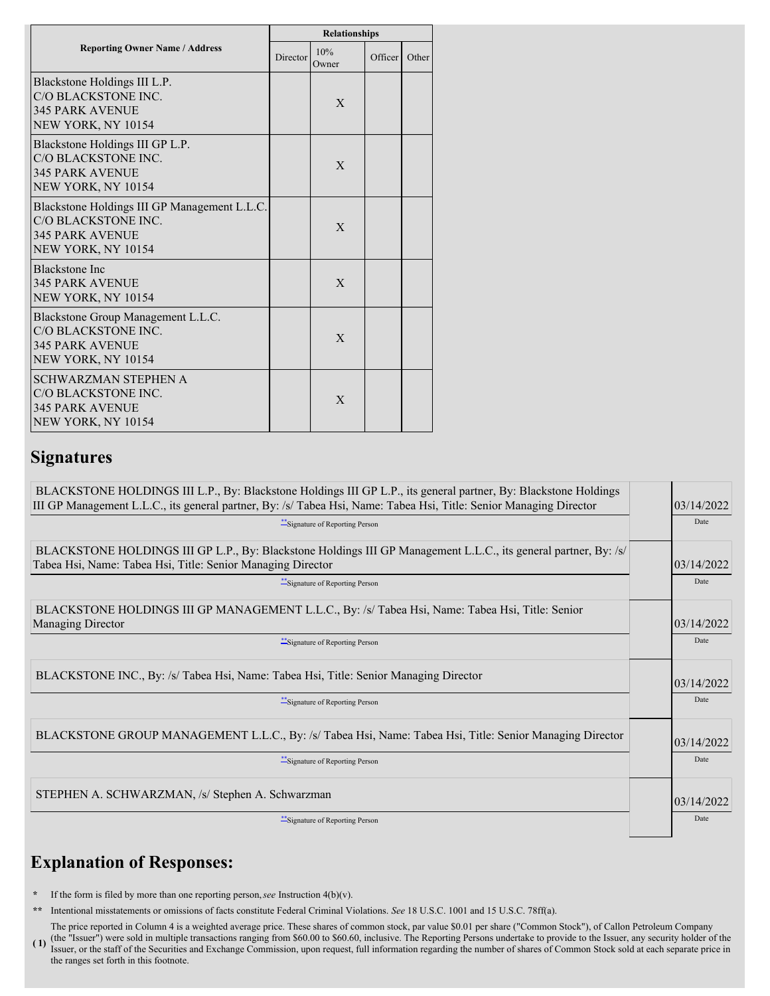|                                                                                                                     | <b>Relationships</b> |              |                      |       |  |  |  |
|---------------------------------------------------------------------------------------------------------------------|----------------------|--------------|----------------------|-------|--|--|--|
| <b>Reporting Owner Name / Address</b>                                                                               | Director             | 10%<br>Owner | Officer <sup>1</sup> | Other |  |  |  |
| Blackstone Holdings III L.P.<br>C/O BLACKSTONE INC.<br><b>345 PARK AVENUE</b><br>NEW YORK, NY 10154                 |                      | X            |                      |       |  |  |  |
| Blackstone Holdings III GP L.P.<br>C/O BLACKSTONE INC.<br><b>345 PARK AVENUE</b><br>NEW YORK, NY 10154              |                      | X            |                      |       |  |  |  |
| Blackstone Holdings III GP Management L.L.C.<br>C/O BLACKSTONE INC.<br><b>345 PARK AVENUE</b><br>NEW YORK, NY 10154 |                      | $\mathbf{X}$ |                      |       |  |  |  |
| <b>Blackstone Inc</b><br><b>345 PARK AVENUE</b><br>NEW YORK, NY 10154                                               |                      | $\mathbf{X}$ |                      |       |  |  |  |
| Blackstone Group Management L.L.C.<br>C/O BLACKSTONE INC.<br><b>345 PARK AVENUE</b><br>NEW YORK, NY 10154           |                      | $\mathbf{X}$ |                      |       |  |  |  |
| <b>SCHWARZMAN STEPHEN A</b><br>C/O BLACKSTONE INC.<br><b>345 PARK AVENUE</b><br>NEW YORK, NY 10154                  |                      | X            |                      |       |  |  |  |

### **Signatures**

| BLACKSTONE HOLDINGS III L.P., By: Blackstone Holdings III GP L.P., its general partner, By: Blackstone Holdings<br>III GP Management L.L.C., its general partner, By: /s/ Tabea Hsi, Name: Tabea Hsi, Title: Senior Managing Director<br>** Signature of Reporting Person |  | 03/14/2022<br>Date |  |  |  |
|---------------------------------------------------------------------------------------------------------------------------------------------------------------------------------------------------------------------------------------------------------------------------|--|--------------------|--|--|--|
| BLACKSTONE HOLDINGS III GP L.P., By: Blackstone Holdings III GP Management L.L.C., its general partner, By: /s/<br>Tabea Hsi, Name: Tabea Hsi, Title: Senior Managing Director<br>Signature of Reporting Person                                                           |  | 03/14/2022<br>Date |  |  |  |
| BLACKSTONE HOLDINGS III GP MANAGEMENT L.L.C., By: /s/ Tabea Hsi, Name: Tabea Hsi, Title: Senior<br><b>Managing Director</b><br>Signature of Reporting Person                                                                                                              |  | 03/14/2022<br>Date |  |  |  |
| BLACKSTONE INC., By: /s/ Tabea Hsi, Name: Tabea Hsi, Title: Senior Managing Director<br>**Signature of Reporting Person                                                                                                                                                   |  |                    |  |  |  |
| BLACKSTONE GROUP MANAGEMENT L.L.C., By: /s/ Tabea Hsi, Name: Tabea Hsi, Title: Senior Managing Director<br>***Signature of Reporting Person                                                                                                                               |  | 03/14/2022<br>Date |  |  |  |
| STEPHEN A. SCHWARZMAN, /s/ Stephen A. Schwarzman<br>**Signature of Reporting Person                                                                                                                                                                                       |  | 03/14/2022<br>Date |  |  |  |

# **Explanation of Responses:**

**\*** If the form is filed by more than one reporting person,*see* Instruction 4(b)(v).

**\*\*** Intentional misstatements or omissions of facts constitute Federal Criminal Violations. *See* 18 U.S.C. 1001 and 15 U.S.C. 78ff(a).

**( 1)** The price reported in Column 4 is a weighted average price. These shares of common stock, par value \$0.01 per share ("Common Stock"), of Callon Petroleum Company (the "Issuer") were sold in multiple transactions ranging from \$60.00 to \$60.60, inclusive. The Reporting Persons undertake to provide to the Issuer, any security holder of the Issuer, or the staff of the Securities and Exchange Commission, upon request, full information regarding the number of shares of Common Stock sold at each separate price in the ranges set forth in this footnote.